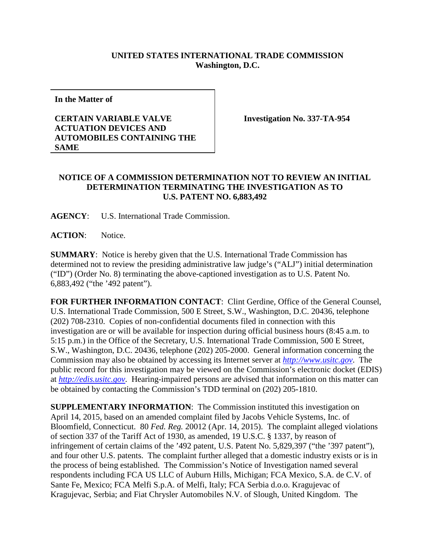## **UNITED STATES INTERNATIONAL TRADE COMMISSION Washington, D.C.**

**In the Matter of**

## **CERTAIN VARIABLE VALVE ACTUATION DEVICES AND AUTOMOBILES CONTAINING THE SAME**

**Investigation No. 337-TA-954**

## **NOTICE OF A COMMISSION DETERMINATION NOT TO REVIEW AN INITIAL DETERMINATION TERMINATING THE INVESTIGATION AS TO U.S. PATENT NO. 6,883,492**

**AGENCY**: U.S. International Trade Commission.

**ACTION**: Notice.

**SUMMARY**: Notice is hereby given that the U.S. International Trade Commission has determined not to review the presiding administrative law judge's ("ALJ") initial determination ("ID") (Order No. 8) terminating the above-captioned investigation as to U.S. Patent No. 6,883,492 ("the '492 patent").

**FOR FURTHER INFORMATION CONTACT**: Clint Gerdine, Office of the General Counsel, U.S. International Trade Commission, 500 E Street, S.W., Washington, D.C. 20436, telephone (202) 708-2310. Copies of non-confidential documents filed in connection with this investigation are or will be available for inspection during official business hours (8:45 a.m. to 5:15 p.m.) in the Office of the Secretary, U.S. International Trade Commission, 500 E Street, S.W., Washington, D.C. 20436, telephone (202) 205-2000. General information concerning the Commission may also be obtained by accessing its Internet server at *[http://www.usitc.gov](http://www.usitc.gov/)*. The public record for this investigation may be viewed on the Commission's electronic docket (EDIS) at *[http://edis.usitc.gov](http://edis.usitc.gov/)*. Hearing-impaired persons are advised that information on this matter can be obtained by contacting the Commission's TDD terminal on (202) 205-1810.

**SUPPLEMENTARY INFORMATION**: The Commission instituted this investigation on April 14, 2015, based on an amended complaint filed by Jacobs Vehicle Systems, Inc. of Bloomfield, Connecticut. 80 *Fed. Reg.* 20012 (Apr. 14, 2015). The complaint alleged violations of section 337 of the Tariff Act of 1930, as amended, 19 U.S.C. § 1337, by reason of infringement of certain claims of the '492 patent, U.S. Patent No. 5,829,397 ("the '397 patent"), and four other U.S. patents. The complaint further alleged that a domestic industry exists or is in the process of being established. The Commission's Notice of Investigation named several respondents including FCA US LLC of Auburn Hills, Michigan; FCA Mexico, S.A. de C.V. of Sante Fe, Mexico; FCA Melfi S.p.A. of Melfi, Italy; FCA Serbia d.o.o. Kragujevac of Kragujevac, Serbia; and Fiat Chrysler Automobiles N.V. of Slough, United Kingdom. The